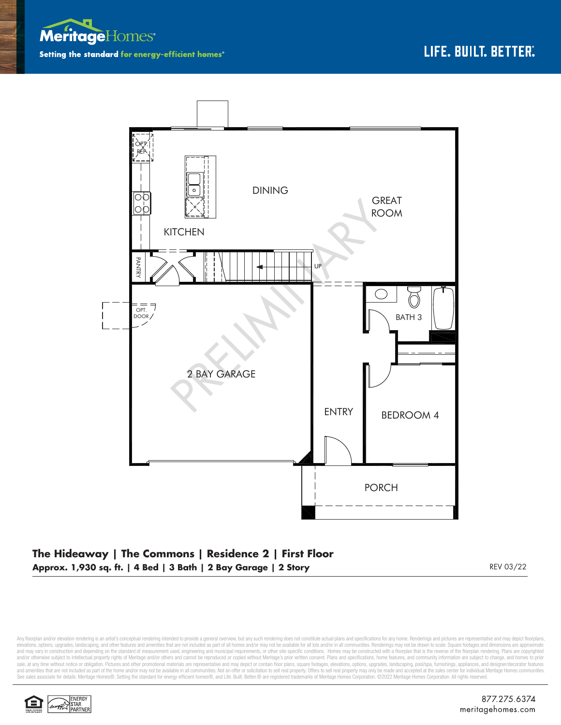



## **The Hideaway | The Commons | Residence 2 | First Floor Approx. 1,930 sq. ft. | 4 Bed | 3 Bath | 2 Bay Garage | 2 Story REV 03/22 REV 03/22**

Any floorplan and/or elevation rendering is an artist's conceptual rendering intended to provide a general overview, but any such rendering does not constitute actual plans and specifications for any home. Renderings and p elevations, options, upgrades, landscaping, and other features and amenities that are not included as part of all homes and/or may not be available for all lots and/or in all communities. Renderings may not be drawn to sca and may vary in construction and depending on the standard of measurement used, engineering and municipal requirements, or other site-specific conditions. Homes may be constructed with a floorplan that is the reverse of th sale, at any time without notice or obligation. Pictures and other promotional materials are representative and may depict or contain floor plans, square footages, elevations, options, upgrades, landscaping, pool/spa, furn and amenities that are not included as part of the home and/or may not be available in all communities. Not an offer or solicitation to sell real property. Offers to sell real property may only be made and accepted at the